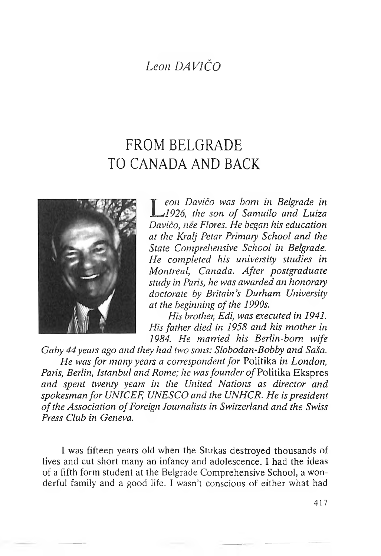## *Leon DAVIČO*

## FROM BELGRADE TO CANADA AND BACK



*L eon Davičo was bom in Belgrade in 1926, the son of Samuilo and Luiza Davičo, nee Flores. He began his education at the Kralj Petar Primary School and the State Comprehensive School in Belgrade. He completed his university studies in Montreal, Canada. After postgraduate study in Paris, he was awarded an honorary doctorate by Britain's Durham University at the beginning ofthe 1990s.*

*His brother, Edi, was executed in 1941. His father died in 1958 and his mother in 1984. He married his Berlin-born wife*

*Gaby 44years ago and they had two sons: Slobodan-Bobby and Saša. He wasfor many years a correspondent for* Politika *in London, Paris, Berlin, Istanbul and Rome; he wasfounder ofPohtika* Ekspres *and spent twenty years in the United Nations as director and spokesman for UNICEF, UNESCO and the UNHCR. He is president ofthe Association ofForeign Journalists in Switzerland and the Swiss Press Club in Geneva.*

I was fifteen years old when the Stukas destroyed thousands of lives and cut short many an infancy and adolescence. I had the ideas of a fifth form student at the Belgrade Comprehensive School, a wonderful family and a good life. I wasn't conscious of either what had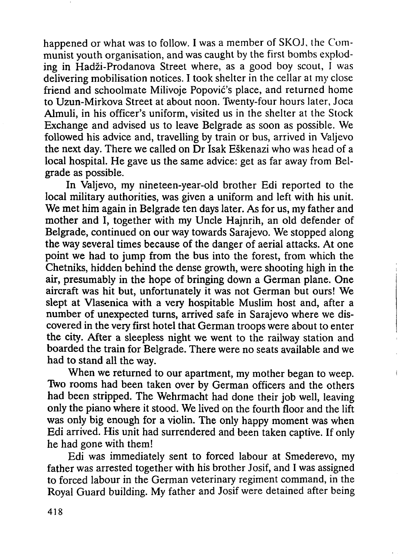happened or what was to follow. I was a member of SKOJ, the Communist youth organisation, and was caught by the first bombs exploding in Hadži-Prodanova Street where, as a good boy scout, <sup>I</sup> was delivering mobilisation notices. I took shelter in the cellar at my close friend and schoolmate Milivoje Popovic's place, and returned home to Uzun-Mirkova Street at about noon. Twenty-four hours later, Joca Almuli, in his officer's uniform, visited us in the shelter at the Stock Exchange and advised us to leave Belgrade as soon as possible. We followed his advice and, travelling by train or bus, arrived in Valjevo the next day. There we called on Dr Isak Eškenazi who was head of a local hospital. He gave us the same advice: get as far away from Belgrade as possible.

In Valjevo, my nineteen-year-old brother Edi reported to the local military authorities, was given a uniform and left with his unit. We met him again in Belgrade ten days later. As for us, my father and mother and I, together with my Uncle Hajnrih, an old defender of Belgrade, continued on our way towards Sarajevo. We stopped along the way several times because of the danger of aerial attacks. At one point we had to jump from the bus into the forest, from which the Chetniks, hidden behind the dense growth, were shooting high in the air, presumably in the hope of bringing down a German plane. One aircraft was hit but, unfortunately it was not German but ours! We slept at Vlasenica with a very hospitable Muslim host and, after a number of unexpected turns, arrived safe in Sarajevo where we discovered in the very first hotel that German troops were about to enter the city. After a sleepless night we went to the railway station and boarded the train for Belgrade. There were no seats available and we had to stand all the way.

When we returned to our apartment, my mother began to weep. Two rooms had been taken over by German officers and the others had been stripped. The Wehrmacht had done their job well, leaving only the piano where it stood. We lived on the fourth floor and the lift was only big enough for a violin. The only happy moment was when Edi arrived. His unit had surrendered and been taken captive. If only he had gone with them!

Edi was immediately sent to forced labour at Smederevo, my father was arrested together with his brother Josif, and I was assigned to forced labour in the German veterinary regiment command, in the Royal Guard building. My father and Josif were detained after being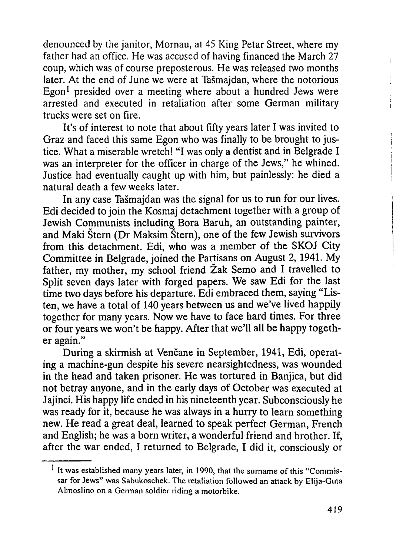denounced by the janitor, Mornau, at 45 King Petar Street, where my father had an office. He was accused of having financed the March 27 coup, which was of course preposterous. He was released two months later. At the end of June we were at Tasmajdan, where the notorious Egon<sup>[1](#page-2-0)</sup> presided over a meeting where about a hundred Jews were arrested and executed in retaliation after some German military trucks were set on fire.

It's of interest to note that about fifty years later I was invited to Graz and faced this same Egon who was finally to be brought to justice. What a miserable wretch! "I was only a dentist and in Belgrade I was an interpreter for the officer in charge of the Jews," he whined. Justice had eventually caught up with him, but painlessly: he died a natural death a few weeks later.

In any case Tasmajdan was the signal for us to run for our lives. Edi decided to join the Kosmaj detachment together with a group of Jewish Communists including Bora Baruh, an outstanding painter, and Maki Štern (Dr Maksim Stern), one of the few Jewish survivors from this detachment. Edi, who was a member of the SKOJ City Committee in Belgrade, joined the Partisans on August 2, 1941. My father, my mother, my school friend Žak Semo and I travelled to Split seven days later with forged papers. We saw Edi for the last time two days before his departure. Edi embraced them, saying "Listen, we have a total of 140 years between us and we've lived happily together for many years. Now we have to face hard times. For three or four years we won't be happy. After that we'll all be happy together again."

<span id="page-2-0"></span>During a skirmish at Venčane in September, 1941, Edi, operating a machine-gun despite his severe nearsightedness, was wounded in the head and taken prisoner. He was tortured in Banjica, but did not betray anyone, and in the early days of October was executed at Jajinci. His happy life ended in his nineteenth year. Subconsciously he was ready for it, because he was always in a hurry to learn something new. He read a great deal, learned to speak perfect German, French and English; he was a born writer, a wonderful friend and brother. If, after the war ended, I returned to Belgrade, I did it, consciously or

<sup>&</sup>lt;sup>1</sup> It was established many years later, in 1990, that the surname of this "Commissar for Jews" was Sabukoschek. The retaliation followed an attack by Elija-Guta Almoslino on a German soldier riding a motorbike.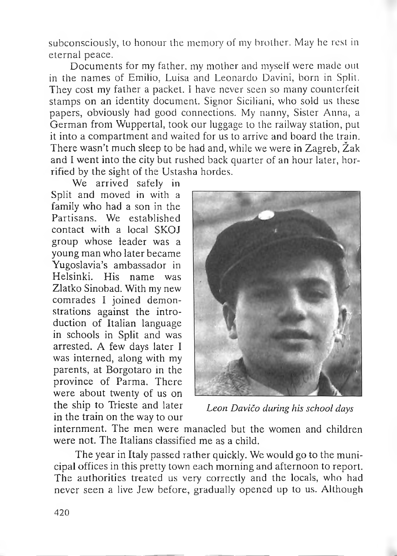subconsciously, to honour the memory of my brother. May he rest in eternal peace.

Documents for my father, my mother and myself were made out in the names of Emilio, Luisa and Leonardo Davini, born in Split. They cost my father a packet. I have never seen so many counterfeit stamps on an identity document. Signor Siciliani, who sold us these papers, obviously had good connections. My nanny, Sister Anna, a German from Wuppertal, took our luggage to the railway station, put it into a compartment and waited for us to arrive and board the train. There wasn't much sleep to be had and, while we were in Zagreb, Žak and I went into the city but rushed back quarter of an hour later, horrified by the sight of the Ustasha hordes.

We arrived safely in Split and moved in with a family who had a son in the Partisans. We established contact with a local SKOJ group whose leader was a young man who later became Yugoslavia's ambassador in Helsinki. His name was Zlatko Sinobad. With my new comrades I joined demonstrations against the introduction of Italian language in schools in Split and was arrested. A few days later <sup>I</sup> was interned, along with my parents, at Borgotaro in the province of Parma. There were about twenty of us on the ship to Trieste and later in the train on the way to our



*Leon Davičo during his school days*

internment. The men were manacled but the women and children were not. The Italians classified me as a child.

The year in Italy passed rather quickly. We would go to the municipal offices in this pretty town each morning and afternoon to report. The authorities treated us very correctly and the locals, who had never seen a live Jew before, gradually opened up to us. Although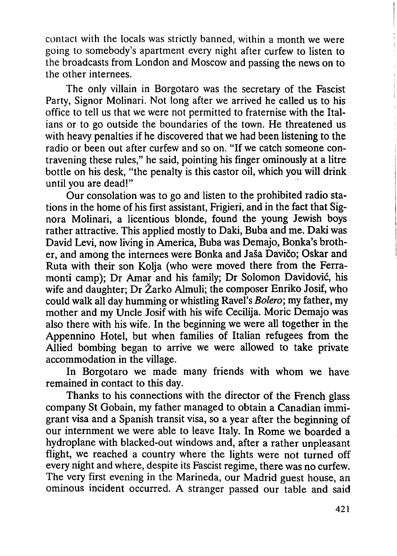contact with the locals was strictly banned, within a month we were going to somebody's apartment every night after curfew to listen to the broadcasts from London and Moscow and passing the news on to the other internees.

The only villain in Borgotaro was the secretary of the Fascist Party, Signor Molinari. Not long after we arrived he called us to his office to tell us that we were not permitted to fraternise with the Italians or to go outside the boundaries of the town. He threatened us with heavy penalties if he discovered that we had been listening to the radio or been out after curfew and so on. "If we catch someone contravening these rules," he said, pointing his finger ominously at a litre bottle on his desk, "the penalty is this castor oil, which you will drink until you are dead!"

Our consolation was to go and listen to the prohibited radio stations in the home of his first assistant, Frigieri, and in the fact that Signora Molinari, a licentious blonde, found the young Jewish boys rather attractive. This applied mostly to Daki, Buba and me. Daki was David Levi, now living in America, Buba was Demajo, Bonka's brother, and among the internees were Bonka and Jaša Davičo; Oskar and Ruta with their son Kolja (who were moved there from the Ferramonti camp); Dr Amar and his family; Dr Solomon Davidović, his wife and daughter; Dr Žarko Almuli; the composer Enriko Josif, who could walk all day humming or whistling Ravel's *Bolero;* my father, my mother and my Uncle Josif with his wife Cecilija. Moric Demajo was also there with his wife. In the beginning we were all together in the Appennino Hotel, but when families of Italian refugees from the Allied bombing began to arrive we were allowed to take private accommodation in the village.

In Borgotaro we made many friends with whom we have remained in contact to this day.

Thanks to his connections with the director of the French glass company St Gobain, my father managed to obtain a Canadian immigrant visa and a Spanish transit visa, so a year after the beginning of our internment we were able to leave Italy. In Rome we boarded a hydroplane with blacked-out windows and, after a rather unpleasant flight, we reached a country where the lights were not turned off every night and where, despite its Fascist regime, there was no curfew. The very first evening in the Marineda, our Madrid guest house, an ominous incident occurred. A stranger passed our table and said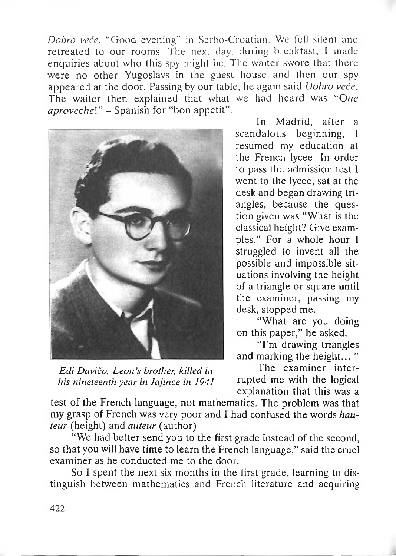*Dobro veče.* "Good evening" in Serbo-Croatian. We fell silent and retreated to our rooms. The next day, during breakfast, <sup>1</sup> made enquiries about who this spy might be. The waiter swore that there were no other Yugoslavs in the guest house and then our spy appeared at the door. Passing by our table, he again said *Dobro veče.* The waiter then explained that what we had heard was "Que *aprovechel" -* Spanish for "bon appetit".



*Edi Davičo, Leon's brother, killed in his nineteenth year in Jaiince in 1941*

In Madrid, after a scandalous beginning, <sup>I</sup> resumed my education at the French lycee. In order to pass the admission test <sup>I</sup> went to the lycee, sat at the desk and began drawing triangles, because the question given was "What is the classical height? Give exampies." For a whole hour <sup>I</sup> struggled to invent all the possible and impossible situations involving the height of a triangle or square until the examiner, passing my desk, stopped me.

"What are you doing on this paper," he asked.

"I'm drawing triangles and marking the height... "

The examiner interrupted me with the logical explanation that this was a

test of the French language, not mathematics. The problem was that my grasp of French was very poor and I had confused the words *hauteur* (height) and *auteur* (author)

"We had better send you to the first grade instead of the second, so that you will have time to learn the French language," said the cruel examiner as he conducted me to the door.

So I spent the next six months in the first grade, learning to distinguish between mathematics and French literature and acquiring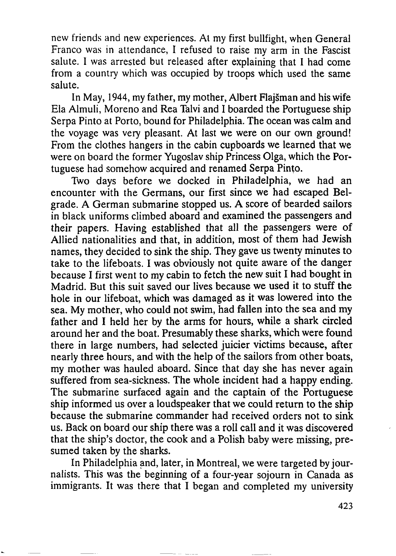new friends and new experiences. Al my first bullfight, when General Franco was in attendance, I refused to raise my arm in the Fascist salute. <sup>I</sup> was arrested but released after explaining that I had come from a country which was occupied by troops which used the same salute.

In May, 1944, my father, my mother, Albert Flajšman and his wife Ela Almuli, Moreno and Rea Talvi and I boarded the Portuguese ship Serpa Pinto at Porto, bound for Philadelphia. The ocean was calm and the voyage was very pleasant. At last we were on our own ground! From the clothes hangers in the cabin cupboards we learned that we were on board the former Yugoslav ship Princess Olga, which the Portuguese had somehow acquired and renamed Serpa Pinto.

Two days before we docked in Philadelphia, we had an encounter with the Germans, our first since we had escaped Belgrade. A German submarine stopped us. A score of bearded sailors in black uniforms climbed aboard and examined the passengers and their papers. Having established that all the passengers were of Allied nationalities and that, in addition, most of them had Jewish names, they decided to sink the ship. They gave us twenty minutes to take to the lifeboats. I was obviously not quite aware of the danger because I first went to my cabin to fetch the new suit I had bought in Madrid. But this suit saved our lives because we used it to stuff the hole in our lifeboat, which was damaged as it was lowered into the sea. My mother, who could not swim, had fallen into the sea and my father and I held her by the arms for hours, while a shark circled around her and the boat. Presumably these sharks, which were found there in large numbers, had selected juicier victims because, after nearly three hours, and with the help of the sailors from other boats, my mother was hauled aboard. Since that day she has never again suffered from sea-sickness. The whole incident had a happy ending. The submarine surfaced again and the captain of the Portuguese ship informed us over a loudspeaker that we could return to the ship because the submarine commander had received orders not to sink us. Back on board our ship there was a roll call and it was discovered that the ship's doctor, the cook and a Polish baby were missing, presumed taken by the sharks.

In Philadelphia and, later, in Montreal, we were targeted by journalists. This was the beginning of a four-year sojourn in Canada as immigrants. It was there that I began and completed my university